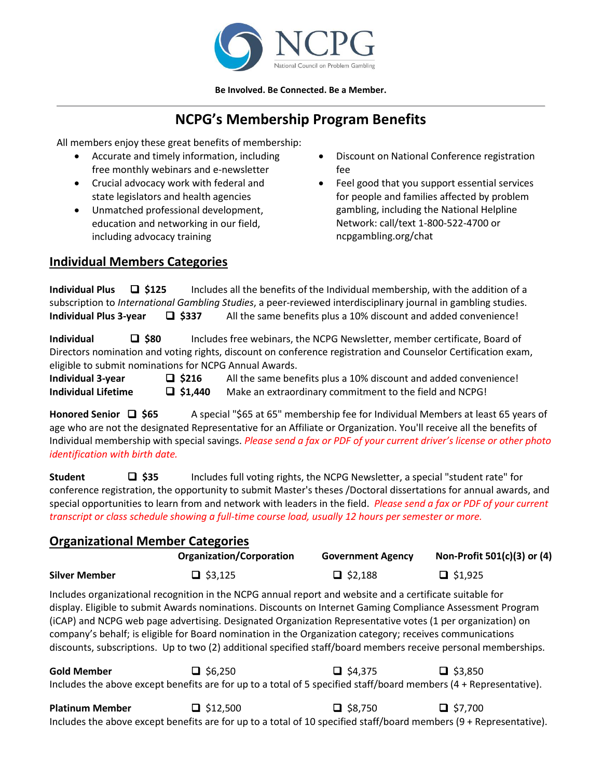

**Be Involved. Be Connected. Be a Member.**

## **NCPG's Membership Program Benefits**

All members enjoy these great benefits of membership:

- Accurate and timely information, including free monthly webinars and e-newsletter
- Crucial advocacy work with federal and state legislators and health agencies
- Unmatched professional development, education and networking in our field, including advocacy training
- Discount on National Conference registration fee
- Feel good that you support essential services for people and families affected by problem gambling, including the National Helpline Network: call/text 1-800-522-4700 or ncpgambling.org/chat

## **Individual Members Categories**

| <b>Individual Plus</b><br>$\Box$ \$125                 |                 | Includes all the benefits of the Individual membership, with the addition of a                                       |
|--------------------------------------------------------|-----------------|----------------------------------------------------------------------------------------------------------------------|
|                                                        |                 | subscription to International Gambling Studies, a peer-reviewed interdisciplinary journal in gambling studies.       |
| <b>Individual Plus 3-year</b>                          | $\square$ \$337 | All the same benefits plus a 10% discount and added convenience!                                                     |
| $\square$ \$80<br>Individual                           |                 | Includes free webinars, the NCPG Newsletter, member certificate, Board of                                            |
|                                                        |                 | Directors nomination and voting rights, discount on conference registration and Counselor Certification exam,        |
| eligible to submit nominations for NCPG Annual Awards. |                 |                                                                                                                      |
| <b>Individual 3-year</b>                               | $\Box$ \$216    | All the same benefits plus a 10% discount and added convenience!                                                     |
| <b>Individual Lifetime</b>                             | $\Box$ \$1,440  | Make an extraordinary commitment to the field and NCPG!                                                              |
| Honored Senior $\Box$ \$65                             |                 | A special "\$65 at 65" membership fee for Individual Members at least 65 years of                                    |
|                                                        |                 | age who are not the designated Representative for an Affiliate or Organization. You'll receive all the benefits of   |
|                                                        |                 | Individual membership with special savings. Please send a fax or PDF of your current driver's license or other photo |
|                                                        |                 |                                                                                                                      |
| identification with birth date.                        |                 |                                                                                                                      |

**Student** ❑ **\$35** Includes full voting rights, the NCPG Newsletter, a special "student rate" for conference registration, the opportunity to submit Master's theses /Doctoral dissertations for annual awards, and special opportunities to learn from and network with leaders in the field. *Please send a fax or PDF of your current transcript or class schedule showing a full-time course load, usually 12 hours per semester or more.*

| <b>Organizational Member Categories</b> |                                                                                                                                                                                                                                                                                                                                                                                                                                                                                                                                                                    |                          |                             |  |  |
|-----------------------------------------|--------------------------------------------------------------------------------------------------------------------------------------------------------------------------------------------------------------------------------------------------------------------------------------------------------------------------------------------------------------------------------------------------------------------------------------------------------------------------------------------------------------------------------------------------------------------|--------------------------|-----------------------------|--|--|
|                                         | <b>Organization/Corporation</b>                                                                                                                                                                                                                                                                                                                                                                                                                                                                                                                                    | <b>Government Agency</b> | Non-Profit 501(c)(3) or (4) |  |  |
| <b>Silver Member</b>                    | $\Box$ \$3,125                                                                                                                                                                                                                                                                                                                                                                                                                                                                                                                                                     | $\Box$ \$2,188           | $\Box$ \$1,925              |  |  |
|                                         | Includes organizational recognition in the NCPG annual report and website and a certificate suitable for<br>display. Eligible to submit Awards nominations. Discounts on Internet Gaming Compliance Assessment Program<br>(iCAP) and NCPG web page advertising. Designated Organization Representative votes (1 per organization) on<br>company's behalf; is eligible for Board nomination in the Organization category; receives communications<br>discounts, subscriptions. Up to two (2) additional specified staff/board members receive personal memberships. |                          |                             |  |  |
| <b>Gold Member</b>                      | $\Box$ \$6,250<br>Includes the above except benefits are for up to a total of 5 specified staff/board members (4 + Representative).                                                                                                                                                                                                                                                                                                                                                                                                                                | $\Box$ \$4,375           | $\Box$ \$3,850              |  |  |

| <b>Platinum Member</b> | $\Box$ \$12,500 | $\Box$ \$8,750                                                                                                       | $\Box$ \$7,700 |  |
|------------------------|-----------------|----------------------------------------------------------------------------------------------------------------------|----------------|--|
|                        |                 | Includes the above except benefits are for up to a total of 10 specified staff/board members $(9 +$ Representative). |                |  |